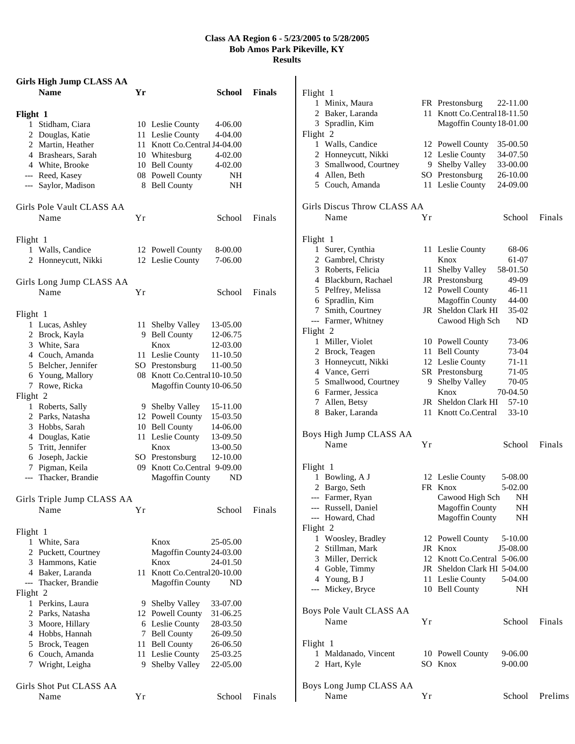## **Class AA Region 6 - 5/23/2005 to 5/28/2005 Bob Amos Park Pikeville, KY Results**

|                         | <b>Girls High Jump CLASS AA</b> |      |                              |          |               |  |  |
|-------------------------|---------------------------------|------|------------------------------|----------|---------------|--|--|
|                         | <b>Name</b>                     | Yr   |                              | School   | <b>Finals</b> |  |  |
| Flight 1                |                                 |      |                              |          |               |  |  |
|                         | 1 Stidham, Ciara                |      | 10 Leslie County             | 4-06.00  |               |  |  |
|                         | 2 Douglas, Katie                |      | 11 Leslie County             | 4-04.00  |               |  |  |
|                         | 2 Martin, Heather               |      | 11 Knott Co.Central J4-04.00 |          |               |  |  |
|                         | 4 Brashears, Sarah              |      | 10 Whitesburg                | 4-02.00  |               |  |  |
|                         | 4 White, Brooke                 |      | 10 Bell County               | 4-02.00  |               |  |  |
|                         | --- Reed, Kasey                 |      | 08 Powell County             | NH       |               |  |  |
|                         | --- Saylor, Madison             |      | 8 Bell County                | NH       |               |  |  |
|                         | Girls Pole Vault CLASS AA       |      |                              |          |               |  |  |
|                         | Name                            | Υr   |                              | School   | Finals        |  |  |
|                         |                                 |      |                              |          |               |  |  |
| Flight 1                |                                 |      |                              |          |               |  |  |
|                         | 1 Walls, Candice                |      | 12 Powell County             | 8-00.00  |               |  |  |
|                         | 2 Honneycutt, Nikki             |      | 12 Leslie County             | 7-06.00  |               |  |  |
|                         | Girls Long Jump CLASS AA        |      |                              |          |               |  |  |
|                         | Name                            | Υr   |                              | School   | Finals        |  |  |
|                         |                                 |      |                              |          |               |  |  |
| Flight 1                |                                 |      |                              |          |               |  |  |
|                         | 1 Lucas, Ashley                 | 11 - | Shelby Valley                | 13-05.00 |               |  |  |
|                         | 2 Brock, Kayla                  |      | 9 Bell County                | 12-06.75 |               |  |  |
|                         | 3 White, Sara                   |      | Knox                         | 12-03.00 |               |  |  |
|                         | 4 Couch, Amanda                 |      | 11 Leslie County             | 11-10.50 |               |  |  |
|                         | 5 Belcher, Jennifer             |      | SO Prestonsburg              | 11-00.50 |               |  |  |
|                         | 6 Young, Mallory                |      | 08 Knott Co.Central 10-10.50 |          |               |  |  |
|                         | 7 Rowe, Ricka                   |      | Magoffin County 10-06.50     |          |               |  |  |
| Flight 2                |                                 |      |                              |          |               |  |  |
|                         | 1 Roberts, Sally                |      | 9 Shelby Valley              | 15-11.00 |               |  |  |
|                         | 2 Parks, Natasha                |      | 12 Powell County             | 15-03.50 |               |  |  |
|                         | 3 Hobbs, Sarah                  |      | 10 Bell County               | 14-06.00 |               |  |  |
|                         | 4 Douglas, Katie                |      | 11 Leslie County             | 13-09.50 |               |  |  |
|                         | 5 Tritt, Jennifer               |      | Knox                         | 13-00.50 |               |  |  |
|                         | 6 Joseph, Jackie                |      | SO Prestonsburg              | 12-10.00 |               |  |  |
|                         | 7 Pigman, Keila                 |      | 09 Knott Co.Central 9-09.00  |          |               |  |  |
|                         | --- Thacker, Brandie            |      | <b>Magoffin County</b>       | ND       |               |  |  |
|                         | Girls Triple Jump CLASS AA      |      |                              |          |               |  |  |
|                         | Name                            | Υr   |                              | School   | Finals        |  |  |
| Flight 1                |                                 |      |                              |          |               |  |  |
|                         | 1 White, Sara                   |      | Knox                         | 25-05.00 |               |  |  |
|                         | 2 Puckett, Courtney             |      | Magoffin County 24-03.00     |          |               |  |  |
|                         | 3 Hammons, Katie                |      | Knox                         | 24-01.50 |               |  |  |
|                         | 4 Baker, Laranda                |      | 11 Knott Co.Central 20-10.00 |          |               |  |  |
|                         | --- Thacker, Brandie            |      | <b>Magoffin County</b>       | ND       |               |  |  |
| Flight 2                |                                 |      |                              |          |               |  |  |
|                         | 1 Perkins, Laura                |      | 9 Shelby Valley              | 33-07.00 |               |  |  |
|                         | 2 Parks, Natasha                |      | 12 Powell County             | 31-06.25 |               |  |  |
|                         | 3 Moore, Hillary                |      | 6 Leslie County              | 28-03.50 |               |  |  |
|                         | 4 Hobbs, Hannah                 | 7    | <b>Bell County</b>           | 26-09.50 |               |  |  |
|                         | 5 Brock, Teagen                 | 11   | <b>Bell County</b>           | 26-06.50 |               |  |  |
|                         | 6 Couch, Amanda                 | 11   | Leslie County                | 25-03.25 |               |  |  |
|                         | 7 Wright, Leigha                | 9.   | Shelby Valley                | 22-05.00 |               |  |  |
| Girls Shot Put CLASS AA |                                 |      |                              |          |               |  |  |
|                         | Name                            | Υr   |                              | School   | Finals        |  |  |

| Flight 1                     |    |                              |           |         |
|------------------------------|----|------------------------------|-----------|---------|
| 1 Minix, Maura               |    | FR Prestonsburg              | 22-11.00  |         |
| 2 Baker, Laranda             |    | 11 Knott Co.Central 18-11.50 |           |         |
| 3 Spradlin, Kim              |    | Magoffin County 18-01.00     |           |         |
| Flight 2                     |    |                              |           |         |
| 1 Walls, Candice             |    | 12 Powell County             | 35-00.50  |         |
| 2 Honneycutt, Nikki          |    | 12 Leslie County             | 34-07.50  |         |
| 3 Smallwood, Courtney        |    | 9 Shelby Valley              | 33-00.00  |         |
| 4 Allen, Beth                |    | SO Prestonsburg              | 26-10.00  |         |
| 5 Couch, Amanda              |    | 11 Leslie County             | 24-09.00  |         |
| Girls Discus Throw CLASS AA  |    |                              |           |         |
| Name                         | Υr |                              | School    | Finals  |
|                              |    |                              |           |         |
| Flight 1<br>1 Surer, Cynthia |    | 11 Leslie County             | 68-06     |         |
| 2 Gambrel, Christy           |    | Knox                         | 61-07     |         |
| 3 Roberts, Felicia           |    | 11 Shelby Valley             | 58-01.50  |         |
| 4 Blackburn, Rachael         |    | JR Prestonsburg              | 49-09     |         |
| 5 Pelfrey, Melissa           |    | 12 Powell County             | $46 - 11$ |         |
| 6 Spradlin, Kim              |    | <b>Magoffin County</b>       | 44-00     |         |
| 7 Smith, Courtney            |    | JR Sheldon Clark HI          | 35-02     |         |
| --- Farmer, Whitney          |    | Cawood High Sch              | ND        |         |
| Flight 2                     |    |                              |           |         |
| 1 Miller, Violet             |    | 10 Powell County             | 73-06     |         |
| 2 Brock, Teagen              |    | 11 Bell County               | 73-04     |         |
| 3 Honneycutt, Nikki          |    | 12 Leslie County             | 71-11     |         |
| 4 Vance, Gerri               |    | SR Prestonsburg              | $71-05$   |         |
| 5 Smallwood, Courtney        |    | 9 Shelby Valley              | 70-05     |         |
| 6 Farmer, Jessica            |    | Knox                         | 70-04.50  |         |
| 7 Allen, Betsy               |    | JR Sheldon Clark HI          | 57-10     |         |
| 8 Baker, Laranda             |    | 11 Knott Co.Central          | $33-10$   |         |
| Boys High Jump CLASS AA      |    |                              |           |         |
| Name                         | Υr |                              | School    | Finals  |
|                              |    |                              |           |         |
| Flight 1                     |    |                              |           |         |
| 1 Bowling, A J               |    | 12 Leslie County             | 5-08.00   |         |
| 2 Bargo, Seth                |    | FR Knox                      | 5-02.00   |         |
| --- Farmer, Ryan             |    | Cawood High Sch              | NH        |         |
| --- Russell, Daniel          |    | Magoffin County              | NН        |         |
| --- Howard, Chad             |    | <b>Magoffin County</b>       | NΗ        |         |
| Flight 2                     |    |                              |           |         |
| 1 Woosley, Bradley           |    | 12 Powell County             | 5-10.00   |         |
| 2 Stillman, Mark             |    | JR Knox                      | J5-08.00  |         |
| 3 Miller, Derrick            |    | 12 Knott Co.Central 5-06.00  |           |         |
| 4 Goble, Timmy               |    | JR Sheldon Clark HI 5-04.00  |           |         |
| 4 Young, B J                 |    | 11 Leslie County             | 5-04.00   |         |
| --- Mickey, Bryce            |    | 10 Bell County               | NH        |         |
| Boys Pole Vault CLASS AA     |    |                              |           |         |
| Name                         | Υr |                              | School    | Finals  |
|                              |    |                              |           |         |
| Flight 1                     |    |                              |           |         |
| 1 Maldanado, Vincent         |    | 10 Powell County             | 9-06.00   |         |
| 2 Hart, Kyle                 |    | SO Knox                      | 9-00.00   |         |
| Boys Long Jump CLASS AA      |    |                              |           |         |
| Name                         | Υr |                              | School    | Prelims |
|                              |    |                              |           |         |